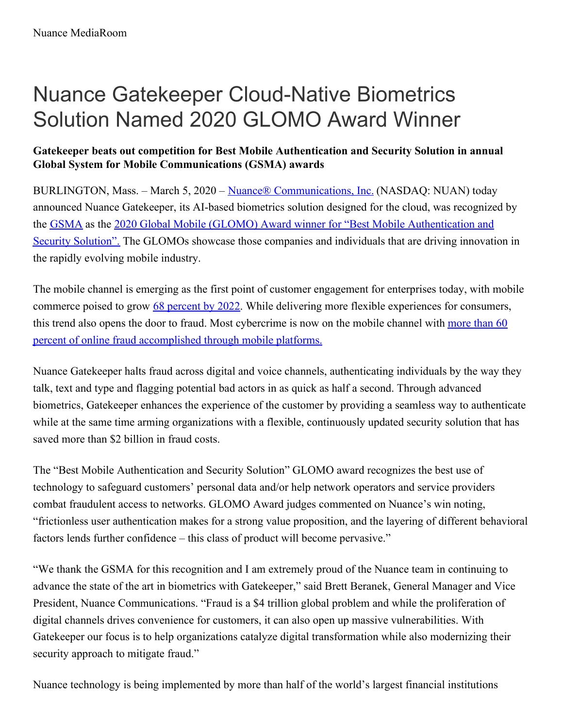## Nuance Gatekeeper Cloud-Native Biometrics Solution Named 2020 GLOMO Award Winner

## **Gatekeeper beats out competition for Best Mobile Authentication and Security Solution in annual Global System for Mobile Communications (GSMA) awards**

BURLINGTON, Mass. – March 5, 2020 – Nuance® [Communications,](http://www.nuance.com/) Inc. (NASDAQ: NUAN) today announced Nuance Gatekeeper, its AI-based biometrics solution designed for the cloud, was recognized by the [GSMA](https://www.gsma.com/) as the 2020 Global Mobile (GLOMO) Award winner for "Best Mobile [Authentication](https://www.mwcbarcelona.com/mobile-awards/2020-glomo-awards-winners) and Security Solution". The GLOMOs showcase those companies and individuals that are driving innovation in the rapidly evolving mobile industry.

The mobile channel is emerging as the first point of customer engagement for enterprises today, with mobile commerce poised to grow 68 [percent](https://content-na1.emarketer.com/the-future-of-retail-2020) by 2022. While delivering more flexible experiences for consumers, this trend also opens the door to fraud. Most cybercrime is now on the mobile channel with more than 60 percent of online fraud [accomplished](https://www.rsa.com/content/dam/en/white-paper/2018-current-state-of-cybercrime.pdf) through mobile platforms.

Nuance Gatekeeper halts fraud across digital and voice channels, authenticating individuals by the way they talk, text and type and flagging potential bad actors in as quick as half a second. Through advanced biometrics, Gatekeeper enhances the experience of the customer by providing a seamless way to authenticate while at the same time arming organizations with a flexible, continuously updated security solution that has saved more than \$2 billion in fraud costs.

The "Best Mobile Authentication and Security Solution" GLOMO award recognizes the best use of technology to safeguard customers' personal data and/or help network operators and service providers combat fraudulent access to networks. GLOMO Award judges commented on Nuance's win noting, "frictionless user authentication makes for a strong value proposition, and the layering of different behavioral factors lends further confidence – this class of product will become pervasive."

"We thank the GSMA for this recognition and I am extremely proud of the Nuance team in continuing to advance the state of the art in biometrics with Gatekeeper," said Brett Beranek, General Manager and Vice President, Nuance Communications. "Fraud is a \$4 trillion global problem and while the proliferation of digital channels drives convenience for customers, it can also open up massive vulnerabilities. With Gatekeeper our focus is to help organizations catalyze digital transformation while also modernizing their security approach to mitigate fraud."

Nuance technology is being implemented by more than half of the world's largest financial institutions